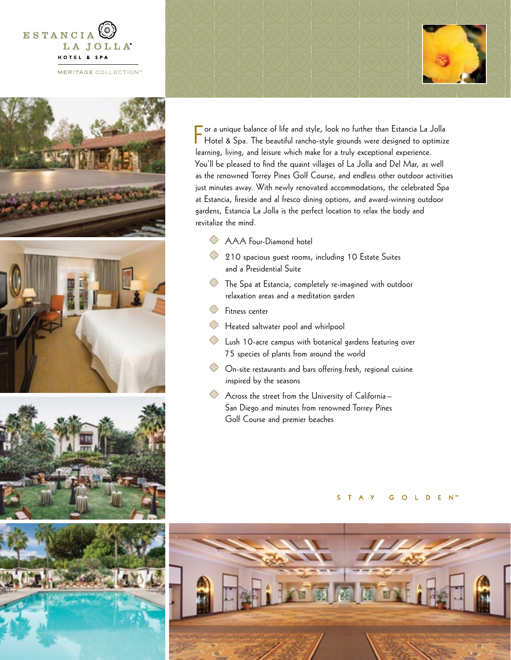







For a unique balance of life and style, look no further than Estancia La Jolla<br>Hotel & Spa. The beautiful rancho-style grounds were designed to optimize Hotel & Spa. The beautiful rancho-style grounds were designed to optimize learning, living, and leisure which make for a truly exceptional experience. You'll be pleased to find the quaint villages of La Jolla and Del Mar, as well as the renowned Torrey Pines Golf Course, and endless other outdoor activities just minutes away. With newly renovated accommodations, the celebrated Spa at Estancia, fireside and al fresco dining options, and award-winning outdoor gardens, Estancia La Jolla is the perfect location to relax the body and revitalize the mind.

- **AAA Four-Diamond hotel**
- $\%$  210 spacious guest rooms, including 10 Estate Suites and a Presidential Suite
- $\frac{1}{200}$  The Spa at Estancia, completely re-imagined with outdoor relaxation areas and a meditation garden
- <sup>5</sup>/<sub>5</sub> Fitness center
- **S** Heated saltwater pool and whirlpool
- $\frac{1}{200}$  Lush 10-acre campus with botanical gardens featuring over 75 species of plants from around the world
- $\frac{1}{200}$  On-site restaurants and bars offering fresh, regional cuisine inspired by the seasons
- $\frac{1}{\sqrt{2}}$  Across the street from the University of California San Diego and minutes from renowned Torrey Pines Golf Course and premier beaches

S T A Y G O L D E N™



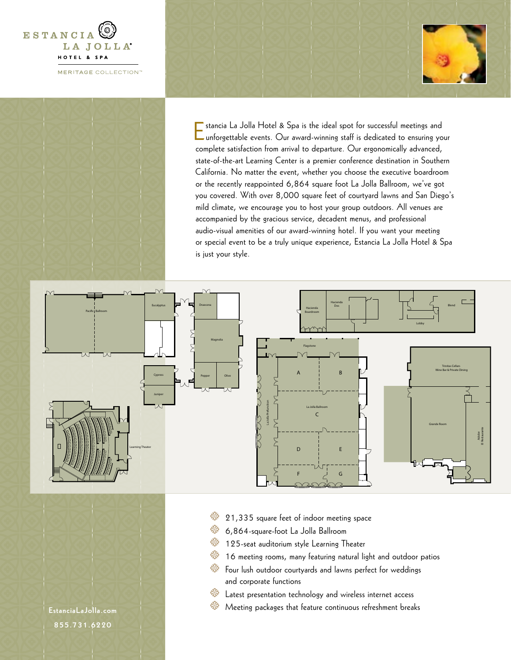



Estancia La Jolla Hotel & Spa is the ideal spot for successful meetings and unforgettable events. Our award-winning staff is dedicated to ensuring your complete satisfaction from arrival to departure. Our ergonomically advanced, state-of-the-art Learning Center is a premier conference destination in Southern California. No matter the event, whether you choose the executive boardroom or the recently reappointed 6,864 square foot La Jolla Ballroom, we've got you covered. With over 8,000 square feet of courtyard lawns and San Diego's mild climate, we encourage you to host your group outdoors. All venues are accompanied by the gracious service, decadent menus, and professional audio-visual amenities of our award-winning hotel. If you want your meeting or special event to be a truly unique experience, Estancia La Jolla Hotel & Spa is just your style.



- $\%$  21,335 square feet of indoor meeting space
- $\%$  6,864-square-foot La Jolla Ballroom
- **125-seat auditorium style Learning Theater**
- $\frac{36}{36}$  16 meeting rooms, many featuring natural light and outdoor patios
- $\frac{1}{\sqrt{2}}$  Four lush outdoor courtyards and lawns perfect for weddings and corporate functions
- $\frac{1}{200}$  Latest presentation technology and wireless internet access
- $\gg$  Meeting packages that feature continuous refreshment breaks

**[EstanciaLaJolla.com](http://EstanciaLaJolla.com) 855.731.6220**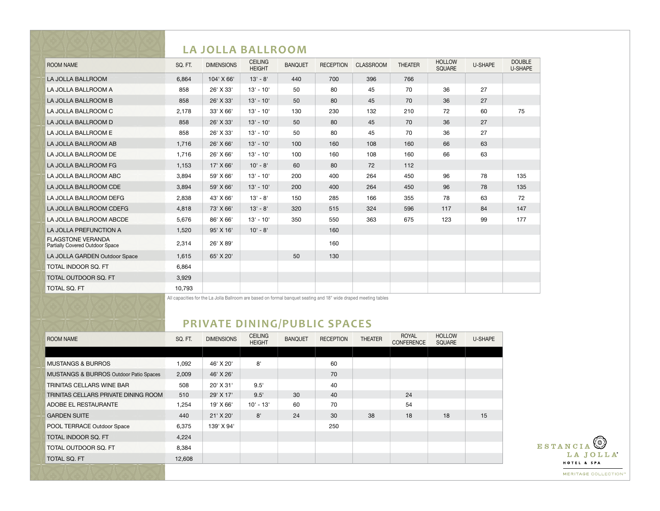|                                                             |         | LA JOLLA BALLROOM |                                 |                |                  |                  |                |                                |         |                          |
|-------------------------------------------------------------|---------|-------------------|---------------------------------|----------------|------------------|------------------|----------------|--------------------------------|---------|--------------------------|
| <b>ROOM NAME</b>                                            | SQ. FT. | <b>DIMENSIONS</b> | <b>CEILING</b><br><b>HEIGHT</b> | <b>BANQUET</b> | <b>RECEPTION</b> | <b>CLASSROOM</b> | <b>THEATER</b> | <b>HOLLOW</b><br><b>SQUARE</b> | U-SHAPE | <b>DOUBLE</b><br>U-SHAPE |
| LA JOLLA BALLROOM                                           | 6,864   | 104' X 66'        | $13' - 8'$                      | 440            | 700              | 396              | 766            |                                |         |                          |
| LA JOLLA BALLROOM A                                         | 858     | 26' X 33'         | $13' - 10'$                     | 50             | 80               | 45               | 70             | 36                             | 27      |                          |
| LA JOLLA BALLROOM B                                         | 858     | 26' X 33'         | $13' - 10'$                     | 50             | 80               | 45               | 70             | 36                             | 27      |                          |
| LA JOLLA BALLROOM C                                         | 2,178   | $33'$ X 66'       | $13' - 10'$                     | 130            | 230              | 132              | 210            | 72                             | 60      | 75                       |
| LA JOLLA BALLROOM D                                         | 858     | 26' X 33'         | $13' - 10'$                     | 50             | 80               | 45               | 70             | 36                             | 27      |                          |
| LA JOLLA BALLROOM E                                         | 858     | 26' X 33'         | $13' - 10'$                     | 50             | 80               | 45               | 70             | 36                             | 27      |                          |
| LA JOLLA BALLROOM AB                                        | 1.716   | 26' X 66'         | $13' - 10'$                     | 100            | 160              | 108              | 160            | 66                             | 63      |                          |
| LA JOLLA BALLROOM DE                                        | 1,716   | 26' X 66'         | $13' - 10'$                     | 100            | 160              | 108              | 160            | 66                             | 63      |                          |
| LA JOLLA BALLROOM FG                                        | 1,153   | 17' X 66'         | $10' - 8'$                      | 60             | 80               | 72               | 112            |                                |         |                          |
| LA JOLLA BALLROOM ABC                                       | 3.894   | 59' X 66'         | $13' - 10'$                     | 200            | 400              | 264              | 450            | 96                             | 78      | 135                      |
| LA JOLLA BALLROOM CDE                                       | 3.894   | 59' X 66'         | $13' - 10'$                     | 200            | 400              | 264              | 450            | 96                             | 78      | 135                      |
| LA JOLLA BALLROOM DEFG                                      | 2,838   | 43' X 66'         | $13' - 8'$                      | 150            | 285              | 166              | 355            | 78                             | 63      | 72                       |
| LA JOLLA BALLROOM CDEFG                                     | 4,818   | 73' X 66'         | $13' - 8'$                      | 320            | 515              | 324              | 596            | 117                            | 84      | 147                      |
| LA JOLLA BALLROOM ABCDE                                     | 5,676   | 86' X 66'         | $13' - 10'$                     | 350            | 550              | 363              | 675            | 123                            | 99      | 177                      |
| LA JOLLA PREFUNCTION A                                      | 1,520   | 95' X 16'         | $10' - 8'$                      |                | 160              |                  |                |                                |         |                          |
| <b>FLAGSTONE VERANDA</b><br>Partially Covered Outdoor Space | 2,314   | 26' X 89'         |                                 |                | 160              |                  |                |                                |         |                          |
| LA JOLLA GARDEN Outdoor Space                               | 1,615   | 65' X 20'         |                                 | 50             | 130              |                  |                |                                |         |                          |
| TOTAL INDOOR SO. FT                                         | 6,864   |                   |                                 |                |                  |                  |                |                                |         |                          |
| TOTAL OUTDOOR SQ. FT                                        | 3,929   |                   |                                 |                |                  |                  |                |                                |         |                          |
| <b>TOTAL SQ. FT</b>                                         | 10,793  |                   |                                 |                |                  |                  |                |                                |         |                          |

All capacities for the La Jolla Ballroom are based on formal banquet seating and 18" wide draped meeting tables

## **PRIVATE DINING/PUBLIC SPACES**

| <b>ROOM NAME</b>                       | SQ. FT. | <b>DIMENSIONS</b> | <b>CEILING</b><br><b>HEIGHT</b> | <b>BANQUET</b> | <b>RECEPTION</b> | <b>THEATER</b> | <b>ROYAL</b><br>CONFERENCE | <b>HOLLOW</b><br>SQUARE | U-SHAPE |
|----------------------------------------|---------|-------------------|---------------------------------|----------------|------------------|----------------|----------------------------|-------------------------|---------|
|                                        |         |                   |                                 |                |                  |                |                            |                         |         |
| <b>MUSTANGS &amp; BURROS</b>           | 1,092   | 46' X 20'         | 8'                              |                | 60               |                |                            |                         |         |
| MUSTANGS & BURROS Outdoor Patio Spaces | 2,009   | 46' X 26'         |                                 |                | 70               |                |                            |                         |         |
| TRINITAS CELLARS WINE BAR              | 508     | 20' X 31'         | 9.5'                            |                | 40               |                |                            |                         |         |
| TRINITAS CELLARS PRIVATE DINING ROOM   | 510     | 29' X 17'         | 9.5'                            | 30             | 40               |                | 24                         |                         |         |
| ADOBE EL RESTAURANTE                   | 1,254   | 19' X 66'         | $10' - 13'$                     | 60             | 70               |                | 54                         |                         |         |
| <b>GARDEN SUITE</b>                    | 440     | 21' X 20'         | 8'                              | 24             | 30               | 38             | 18                         | 18                      | 15      |
| POOL TERRACE Outdoor Space             | 6,375   | 139' X 94'        |                                 |                | 250              |                |                            |                         |         |
| TOTAL INDOOR SQ. FT                    | 4,224   |                   |                                 |                |                  |                |                            |                         |         |
| <b>TOTAL OUTDOOR SQ. FT</b>            | 8,384   |                   |                                 |                |                  |                |                            |                         |         |
| TOTAL SQ. FT                           | 12,608  |                   |                                 |                |                  |                |                            |                         |         |
|                                        |         |                   |                                 |                |                  |                |                            |                         |         |

ESTANCIA<sup>(3)</sup> LA JOLLA<sup>\*</sup> HOTEL & SPA MERITAGE COLLECTION"